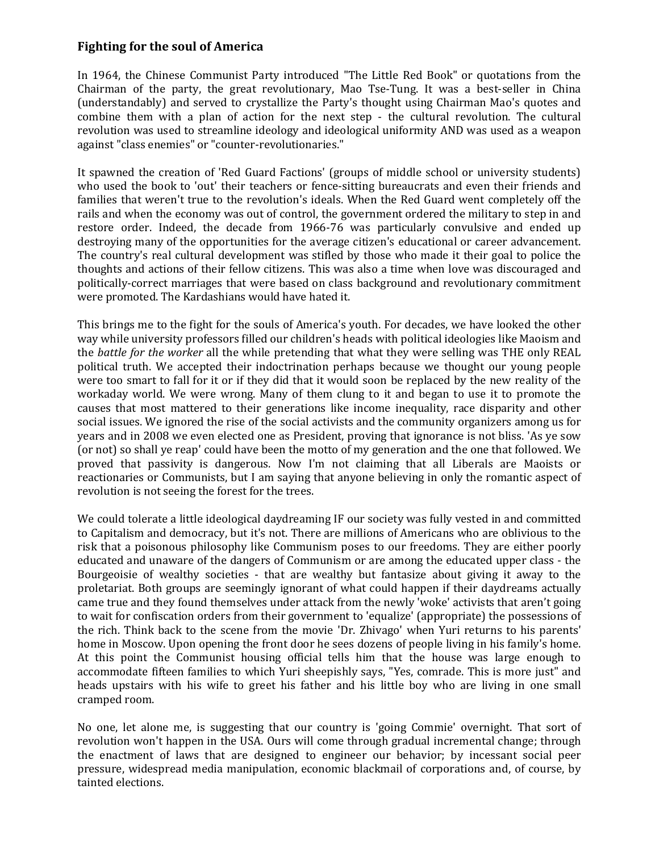## **Fighting for the soul of America**

In 1964, the Chinese Communist Party introduced "The Little Red Book" or quotations from the Chairman of the party, the great revolutionary, Mao Tse-Tung. It was a best-seller in China (understandably) and served to crystallize the Party's thought using Chairman Mao's quotes and combine them with a plan of action for the next step - the cultural revolution. The cultural revolution was used to streamline ideology and ideological uniformity AND was used as a weapon against "class enemies" or "counter-revolutionaries."

It spawned the creation of 'Red Guard Factions' (groups of middle school or university students) who used the book to 'out' their teachers or fence-sitting bureaucrats and even their friends and families that weren't true to the revolution's ideals. When the Red Guard went completely off the rails and when the economy was out of control, the government ordered the military to step in and restore order. Indeed, the decade from 1966-76 was particularly convulsive and ended up destroying many of the opportunities for the average citizen's educational or career advancement. The country's real cultural development was stifled by those who made it their goal to police the thoughts and actions of their fellow citizens. This was also a time when love was discouraged and politically-correct marriages that were based on class background and revolutionary commitment were promoted. The Kardashians would have hated it.

This brings me to the fight for the souls of America's youth. For decades, we have looked the other way while university professors filled our children's heads with political ideologies like Maoism and the *battle for the worker* all the while pretending that what they were selling was THE only REAL political truth. We accepted their indoctrination perhaps because we thought our young people were too smart to fall for it or if they did that it would soon be replaced by the new reality of the workaday world. We were wrong. Many of them clung to it and began to use it to promote the causes that most mattered to their generations like income inequality, race disparity and other social issues. We ignored the rise of the social activists and the community organizers among us for years and in 2008 we even elected one as President, proving that ignorance is not bliss. 'As ye sow (or not) so shall ye reap' could have been the motto of my generation and the one that followed. We proved that passivity is dangerous. Now I'm not claiming that all Liberals are Maoists or reactionaries or Communists, but I am saying that anyone believing in only the romantic aspect of revolution is not seeing the forest for the trees.

We could tolerate a little ideological daydreaming IF our society was fully vested in and committed to Capitalism and democracy, but it's not. There are millions of Americans who are oblivious to the risk that a poisonous philosophy like Communism poses to our freedoms. They are either poorly educated and unaware of the dangers of Communism or are among the educated upper class - the Bourgeoisie of wealthy societies - that are wealthy but fantasize about giving it away to the proletariat. Both groups are seemingly ignorant of what could happen if their daydreams actually came true and they found themselves under attack from the newly 'woke' activists that aren't going to wait for confiscation orders from their government to 'equalize' (appropriate) the possessions of the rich. Think back to the scene from the movie 'Dr. Zhivago' when Yuri returns to his parents' home in Moscow. Upon opening the front door he sees dozens of people living in his family's home. At this point the Communist housing official tells him that the house was large enough to accommodate fifteen families to which Yuri sheepishly says, "Yes, comrade. This is more just" and heads upstairs with his wife to greet his father and his little boy who are living in one small cramped room.

No one, let alone me, is suggesting that our country is 'going Commie' overnight. That sort of revolution won't happen in the USA. Ours will come through gradual incremental change; through the enactment of laws that are designed to engineer our behavior; by incessant social peer pressure, widespread media manipulation, economic blackmail of corporations and, of course, by tainted elections.